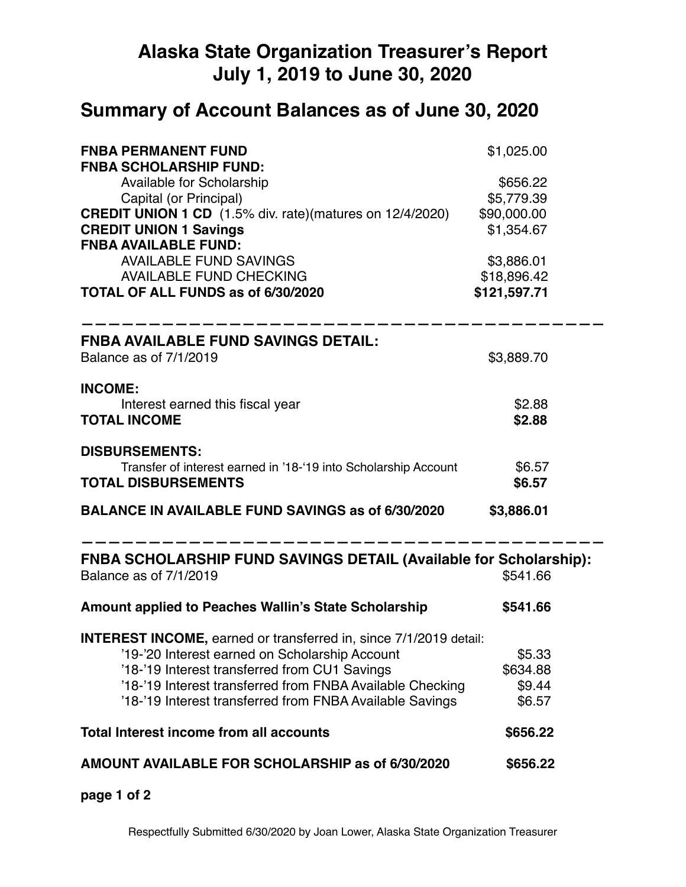## **Alaska State Organization Treasurer's Report July 1, 2019 to June 30, 2020**

## **Summary of Account Balances as of June 30, 2020**

| <b>FNBA PERMANENT FUND</b><br><b>FNBA SCHOLARSHIP FUND:</b>                                        | \$1,025.00   |
|----------------------------------------------------------------------------------------------------|--------------|
| <b>Available for Scholarship</b>                                                                   | \$656.22     |
| Capital (or Principal)                                                                             | \$5,779.39   |
| <b>CREDIT UNION 1 CD</b> (1.5% div. rate)(matures on 12/4/2020)                                    | \$90,000.00  |
| <b>CREDIT UNION 1 Savings</b><br><b>FNBA AVAILABLE FUND:</b>                                       | \$1,354.67   |
| <b>AVAILABLE FUND SAVINGS</b>                                                                      | \$3,886.01   |
| <b>AVAILABLE FUND CHECKING</b>                                                                     | \$18,896.42  |
| TOTAL OF ALL FUNDS as of 6/30/2020                                                                 | \$121,597.71 |
| <b>FNBA AVAILABLE FUND SAVINGS DETAIL:</b>                                                         |              |
| Balance as of 7/1/2019                                                                             | \$3,889.70   |
| <b>INCOME:</b>                                                                                     |              |
| Interest earned this fiscal year                                                                   | \$2.88       |
| <b>TOTAL INCOME</b>                                                                                | \$2.88       |
| <b>DISBURSEMENTS:</b>                                                                              |              |
| Transfer of interest earned in '18-'19 into Scholarship Account                                    | \$6.57       |
| <b>TOTAL DISBURSEMENTS</b>                                                                         | \$6.57       |
| <b>BALANCE IN AVAILABLE FUND SAVINGS as of 6/30/2020</b>                                           | \$3,886.01   |
| <b>FNBA SCHOLARSHIP FUND SAVINGS DETAIL (Available for Scholarship):</b><br>Balance as of 7/1/2019 | \$541.66     |
| <b>Amount applied to Peaches Wallin's State Scholarship</b>                                        | \$541.66     |
| <b>INTEREST INCOME, earned or transferred in, since 7/1/2019 detail:</b>                           |              |
| '19-'20 Interest earned on Scholarship Account                                                     | \$5.33       |
| '18-'19 Interest transferred from CU1 Savings                                                      | \$634.88     |
| '18-'19 Interest transferred from FNBA Available Checking                                          | \$9.44       |
| '18-'19 Interest transferred from FNBA Available Savings                                           | \$6.57       |
| <b>Total Interest income from all accounts</b>                                                     | \$656.22     |
| AMOUNT AVAILABLE FOR SCHOLARSHIP as of 6/30/2020                                                   | \$656.22     |
|                                                                                                    |              |

**page 1 of 2**